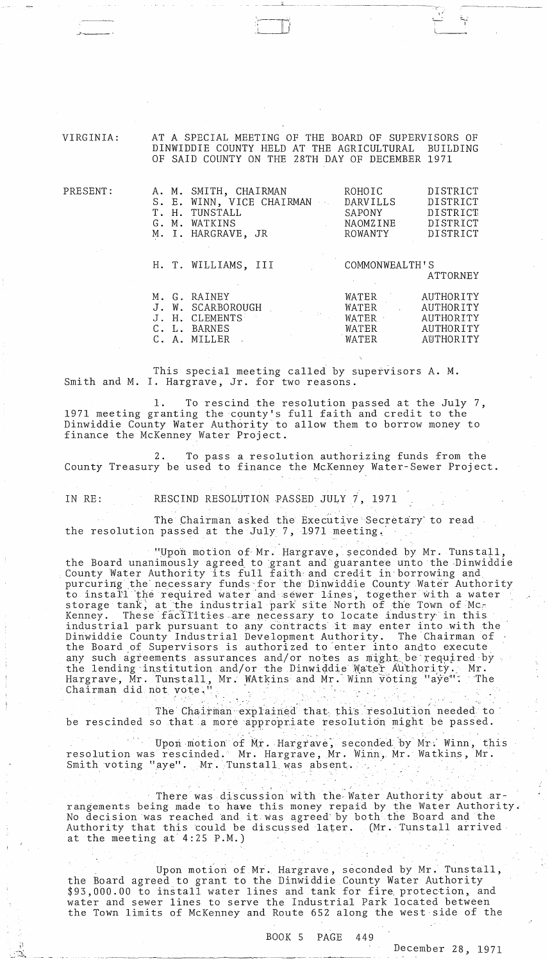VIRGINIA: AT A SPECIAL MEETING OF THE BOARD OF SUPERVISORS OF<br>DINWIDDIE COUNTY HELD AT THE AGRICULTURAL BUILDING DINWIDDIE COUNTY HELD AT THE AGRICULTURAL OF SAID COUNTY ON THE 28TH DAY OF DECEMBER 1971

----------

| PRESENT: | A. M.<br>$S$ .<br>$E$ .<br>Т.<br>Н. | SMITH, CHAIRMAN<br>WINN, VICE CHAIRMAN<br>TUNSTALL | ROHOIC<br>DARVILLS<br>SAPONY | DISTRICT<br>DISTRICT<br>DISTRICT |
|----------|-------------------------------------|----------------------------------------------------|------------------------------|----------------------------------|
|          | G.<br>М.                            | WATKINS                                            | NAOMZINE                     | DISTRICT                         |
|          | Μ.<br>Ι.                            | HARGRAVE, JR                                       | ROWANTY                      | DISTRICT                         |
|          |                                     |                                                    |                              |                                  |
|          | H. T. WILLIAMS, III                 |                                                    | COMMONWEALTH'S               |                                  |
|          |                                     |                                                    |                              | ATTORNEY                         |
|          | М.                                  | G. RAINEY                                          | WATER                        | AUTHORITY                        |
|          | W.                                  | SCARBOROUGH                                        | WATER                        | AUTHORITY                        |
|          | Η.                                  | <b>CLEMENTS</b>                                    | WATER                        | AUTHORITY                        |
|          | С.<br>L.                            | BARNES                                             | WATER                        | AUTHORITY                        |
|          | С.<br>Α.                            | MILLER                                             | WATER                        | AUTHORITY                        |

This special meeting called by supervisors A. M. Smith and M. I. Hargrave, Jr. for two reasons.

1. To rescind the resolution passed at the July 7, 1971 meeting granting the county's full faith and credit to the Dinwiddie County Water Authority to allow them to borrow money to finance the McKenney Water Project.

2. To pass a resolution authorizing funds from the County Treasury be used to finance the McKenney Water-Sewer Project.

j~--'

 $\ddot{\tilde{}}$  . -....:.~ ..... IN RE: RESCIND RESOLUTION PASSED JULY 7, 1971

The Chairman asked the Executive Secretary' to read the resolution passed at the July  $7$ , 1971 meeting.

"Upon motion of Mr. Hargrave, seconded by Mr. Tunstall, the Board unanimously agreed to grant and guarantee unto the Dinwiddie County Water Authority its full faith, and credit,in.'borrowing and purcuring the necessary funds for the Dinwiddie County Water Authority to install the required water and sewer lines, together with a water storage tank, at the industrial park site North of the Town of Mc-<br>Kennev. These facilities are necessary to locate industry in this These facilities are necessary to locate industry in this industrial park pursuant to any contracts it may enter into with the<br>Dinwiddie County Industrial Development Authority. The Chairman of Dinwiddie County Industrial Development Authority. the Board of Supervisors is authorized to-enter into andto execute Ene Board of Supervisors is authorized to compare the lending institution and/or the Dinwidd:<br>the lending institution and/or the Dinwidd:<br>Hargrave, Mr. Tunstall, Mr. WAtkins and Mr.<br>Chairman did not vote." any such agreements assurances and/ or notes as  $\text{min}_\text{th}$  be required by the lending institution and/ or the Dinwiddie Water Authority. Mr. Hargrave, Mr. Tunstall, Mr. WAtkins and Mr. Winn voting "aye": The st Carlo

The Chairman explained that this resolution needed to be rescinded so that a more appropriate resolution might be passed.

Upon motion of Mr. Hargrave, seconded by Mr. Winn, this resolution was rescinded. Mr. Hargrave, Mr. Winn, Mr. Watkins, Mr. Smith voting "aye". Mr. Tunstall was absent.

There was discussion with the Water Authority about rangements being made to have this money repaid by the Water Authority. No decision was reached and it was agreed by both the Board and the Authority that this could be discussed later. (Mr. Tunstall arrived at the meeting at' 4:25 P.M.)

Upon motion of Mr. Hargrave, seconded by Mr. Tunstall, the Board agreed to grant to the Dinwiddie County Water Authority \$93,000.00 to install water lines and tank for fire protection, and water and sewer lines to serve the Industrial Park located between the Town limits of McKenney and Route 652 along the west side of the

BOOK 5 PAGE 449

December 28, 1971